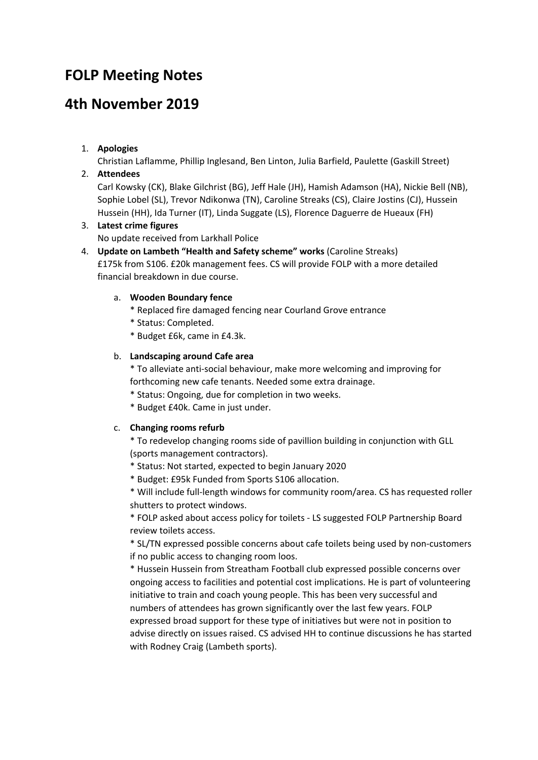# **FOLP Meeting Notes**

# **4th November 2019**

# 1. **Apologies**

Christian Laflamme, Phillip Inglesand, Ben Linton, Julia Barfield, Paulette (Gaskill Street)

# 2. **Attendees**

Carl Kowsky (CK), Blake Gilchrist (BG), Jeff Hale (JH), Hamish Adamson (HA), Nickie Bell (NB), Sophie Lobel (SL), Trevor Ndikonwa (TN), Caroline Streaks (CS), Claire Jostins (CJ), Hussein Hussein (HH), Ida Turner (IT), Linda Suggate (LS), Florence Daguerre de Hueaux (FH)

# 3. **Latest crime figures**

No update received from Larkhall Police

4. **Update on Lambeth "Health and Safety scheme" works** (Caroline Streaks) £175k from S106. £20k management fees. CS will provide FOLP with a more detailed financial breakdown in due course.

# a. **Wooden Boundary fence**

- \* Replaced fire damaged fencing near Courland Grove entrance
- \* Status: Completed.
- \* Budget £6k, came in £4.3k.

# b. **Landscaping around Cafe area**

\* To alleviate anti-social behaviour, make more welcoming and improving for forthcoming new cafe tenants. Needed some extra drainage.

- \* Status: Ongoing, due for completion in two weeks.
- \* Budget £40k. Came in just under.

# c. **Changing rooms refurb**

\* To redevelop changing rooms side of pavillion building in conjunction with GLL (sports management contractors).

- \* Status: Not started, expected to begin January 2020
- \* Budget: £95k Funded from Sports S106 allocation.

\* Will include full-length windows for community room/area. CS has requested roller shutters to protect windows.

\* FOLP asked about access policy for toilets - LS suggested FOLP Partnership Board review toilets access.

\* SL/TN expressed possible concerns about cafe toilets being used by non-customers if no public access to changing room loos.

\* Hussein Hussein from Streatham Football club expressed possible concerns over ongoing access to facilities and potential cost implications. He is part of volunteering initiative to train and coach young people. This has been very successful and numbers of attendees has grown significantly over the last few years. FOLP expressed broad support for these type of initiatives but were not in position to advise directly on issues raised. CS advised HH to continue discussions he has started with Rodney Craig (Lambeth sports).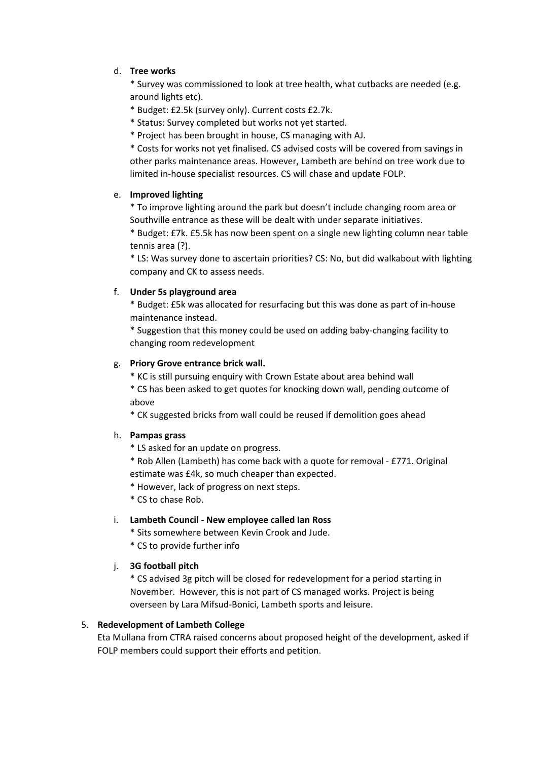### d. **Tree works**

\* Survey was commissioned to look at tree health, what cutbacks are needed (e.g. around lights etc).

- \* Budget: £2.5k (survey only). Current costs £2.7k.
- \* Status: Survey completed but works not yet started.
- \* Project has been brought in house, CS managing with AJ.

\* Costs for works not yet finalised. CS advised costs will be covered from savings in other parks maintenance areas. However, Lambeth are behind on tree work due to limited in-house specialist resources. CS will chase and update FOLP.

#### e. **Improved lighting**

\* To improve lighting around the park but doesn't include changing room area or Southville entrance as these will be dealt with under separate initiatives.

\* Budget: £7k. £5.5k has now been spent on a single new lighting column near table tennis area (?).

\* LS: Was survey done to ascertain priorities? CS: No, but did walkabout with lighting company and CK to assess needs.

### f. **Under 5s playground area**

\* Budget: £5k was allocated for resurfacing but this was done as part of in-house maintenance instead.

\* Suggestion that this money could be used on adding baby-changing facility to changing room redevelopment

### g. **Priory Grove entrance brick wall.**

\* KC is still pursuing enquiry with Crown Estate about area behind wall

\* CS has been asked to get quotes for knocking down wall, pending outcome of above

\* CK suggested bricks from wall could be reused if demolition goes ahead

#### h. **Pampas grass**

\* LS asked for an update on progress.

\* Rob Allen (Lambeth) has come back with a quote for removal - £771. Original estimate was £4k, so much cheaper than expected.

\* However, lack of progress on next steps.

\* CS to chase Rob.

# i. **Lambeth Council - New employee called Ian Ross**

\* Sits somewhere between Kevin Crook and Jude.

\* CS to provide further info

# j. **3G football pitch**

\* CS advised 3g pitch will be closed for redevelopment for a period starting in November. However, this is not part of CS managed works. Project is being overseen by Lara Mifsud-Bonici, Lambeth sports and leisure.

#### 5. **Redevelopment of Lambeth College**

Eta Mullana from CTRA raised concerns about proposed height of the development, asked if FOLP members could support their efforts and petition.